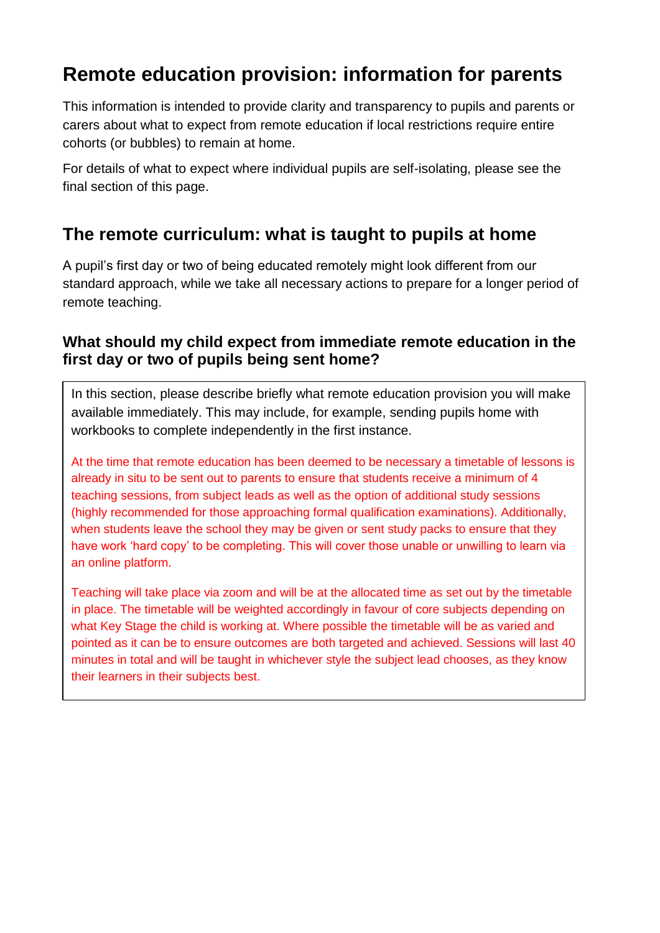# **Remote education provision: information for parents**

This information is intended to provide clarity and transparency to pupils and parents or carers about what to expect from remote education if local restrictions require entire cohorts (or bubbles) to remain at home.

For details of what to expect where individual pupils are self-isolating, please see the final section of this page.

### **The remote curriculum: what is taught to pupils at home**

A pupil's first day or two of being educated remotely might look different from our standard approach, while we take all necessary actions to prepare for a longer period of remote teaching.

#### **What should my child expect from immediate remote education in the first day or two of pupils being sent home?**

In this section, please describe briefly what remote education provision you will make available immediately. This may include, for example, sending pupils home with workbooks to complete independently in the first instance.

At the time that remote education has been deemed to be necessary a timetable of lessons is already in situ to be sent out to parents to ensure that students receive a minimum of 4 teaching sessions, from subject leads as well as the option of additional study sessions (highly recommended for those approaching formal qualification examinations). Additionally, when students leave the school they may be given or sent study packs to ensure that they have work 'hard copy' to be completing. This will cover those unable or unwilling to learn via an online platform.

Teaching will take place via zoom and will be at the allocated time as set out by the timetable in place. The timetable will be weighted accordingly in favour of core subjects depending on what Key Stage the child is working at. Where possible the timetable will be as varied and pointed as it can be to ensure outcomes are both targeted and achieved. Sessions will last 40 minutes in total and will be taught in whichever style the subject lead chooses, as they know their learners in their subjects best.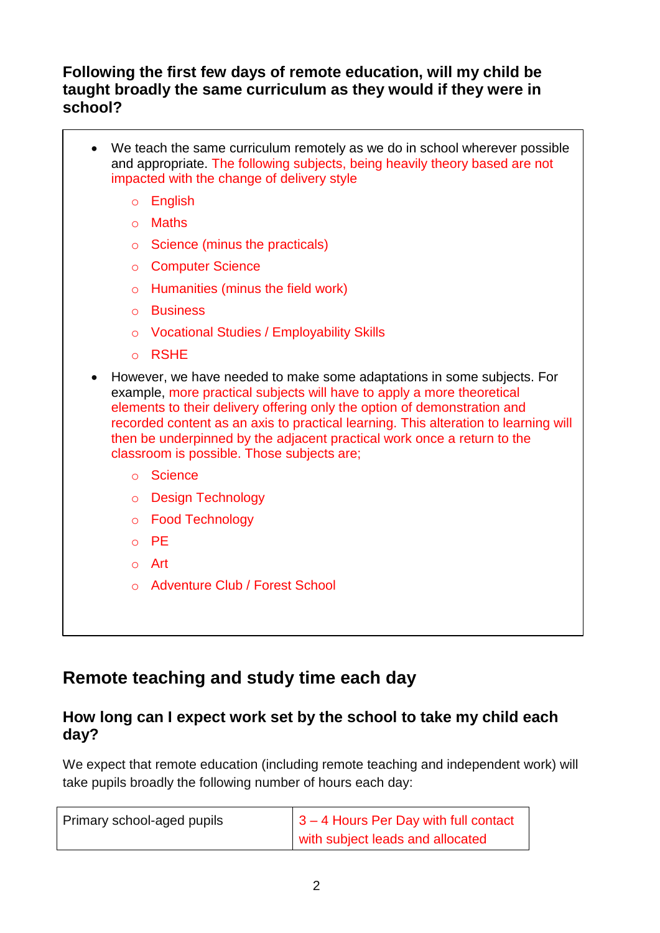#### **Following the first few days of remote education, will my child be taught broadly the same curriculum as they would if they were in school?**

- We teach the same curriculum remotely as we do in school wherever possible and appropriate. The following subjects, being heavily theory based are not impacted with the change of delivery style
	- o English
	- o Maths
	- o Science (minus the practicals)
	- o Computer Science
	- o Humanities (minus the field work)
	- o Business
	- o Vocational Studies / Employability Skills
	- o RSHE
- However, we have needed to make some adaptations in some subjects. For example, more practical subjects will have to apply a more theoretical elements to their delivery offering only the option of demonstration and recorded content as an axis to practical learning. This alteration to learning will then be underpinned by the adjacent practical work once a return to the classroom is possible. Those subjects are;
	- o Science
	- o Design Technology
	- o Food Technology
	- o PE
	- o Art
	- o Adventure Club / Forest School

### **Remote teaching and study time each day**

#### **How long can I expect work set by the school to take my child each day?**

We expect that remote education (including remote teaching and independent work) will take pupils broadly the following number of hours each day:

| Primary school-aged pupils | $\vert$ 3 – 4 Hours Per Day with full contact |
|----------------------------|-----------------------------------------------|
|                            | with subject leads and allocated              |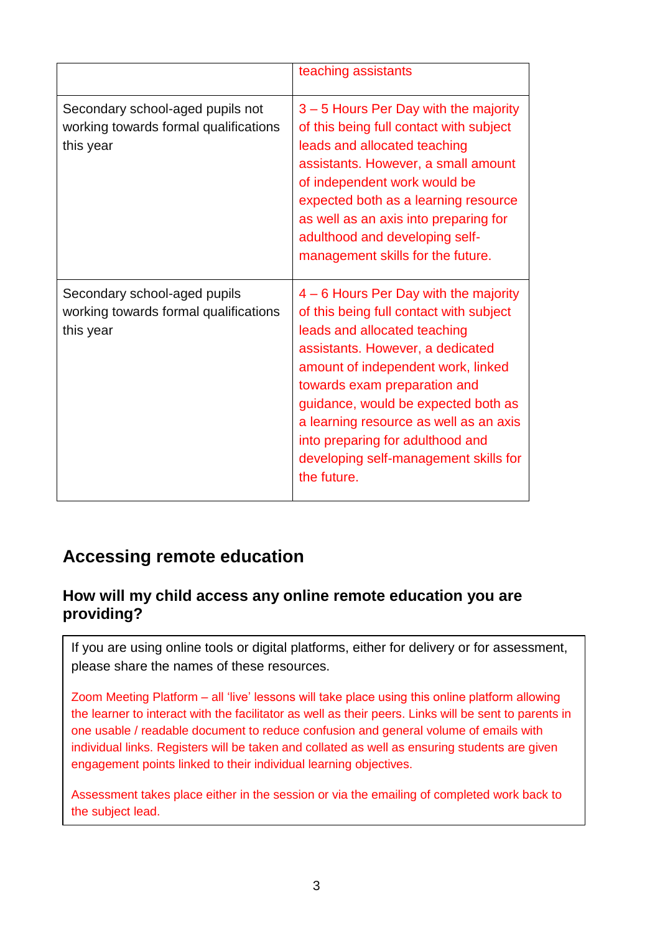|                                                                                        | teaching assistants                                                                                                                                                                                                                                                                                                                                                                                     |
|----------------------------------------------------------------------------------------|---------------------------------------------------------------------------------------------------------------------------------------------------------------------------------------------------------------------------------------------------------------------------------------------------------------------------------------------------------------------------------------------------------|
| Secondary school-aged pupils not<br>working towards formal qualifications<br>this year | 3 – 5 Hours Per Day with the majority<br>of this being full contact with subject<br>leads and allocated teaching<br>assistants. However, a small amount<br>of independent work would be<br>expected both as a learning resource<br>as well as an axis into preparing for<br>adulthood and developing self-<br>management skills for the future.                                                         |
| Secondary school-aged pupils<br>working towards formal qualifications<br>this year     | 4 – 6 Hours Per Day with the majority<br>of this being full contact with subject<br>leads and allocated teaching<br>assistants. However, a dedicated<br>amount of independent work, linked<br>towards exam preparation and<br>guidance, would be expected both as<br>a learning resource as well as an axis<br>into preparing for adulthood and<br>developing self-management skills for<br>the future. |

### **Accessing remote education**

#### **How will my child access any online remote education you are providing?**

If you are using online tools or digital platforms, either for delivery or for assessment, please share the names of these resources.

Zoom Meeting Platform – all 'live' lessons will take place using this online platform allowing the learner to interact with the facilitator as well as their peers. Links will be sent to parents in one usable / readable document to reduce confusion and general volume of emails with individual links. Registers will be taken and collated as well as ensuring students are given engagement points linked to their individual learning objectives.

Assessment takes place either in the session or via the emailing of completed work back to the subject lead.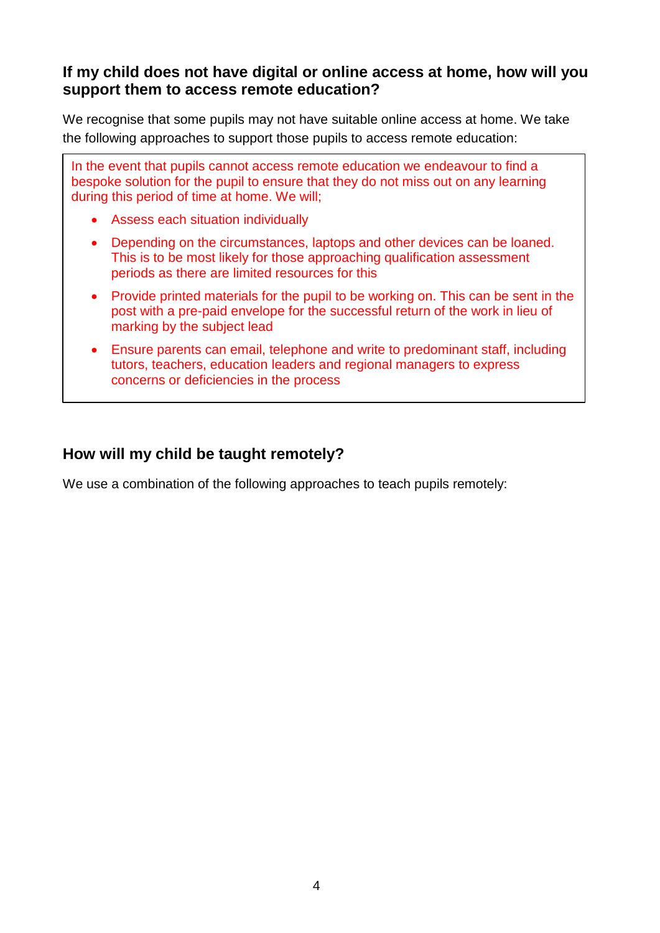#### **If my child does not have digital or online access at home, how will you support them to access remote education?**

We recognise that some pupils may not have suitable online access at home. We take the following approaches to support those pupils to access remote education:

In the event that pupils cannot access remote education we endeavour to find a bespoke solution for the pupil to ensure that they do not miss out on any learning during this period of time at home. We will;

- Assess each situation individually
- Depending on the circumstances, laptops and other devices can be loaned. This is to be most likely for those approaching qualification assessment periods as there are limited resources for this
- Provide printed materials for the pupil to be working on. This can be sent in the post with a pre-paid envelope for the successful return of the work in lieu of marking by the subject lead
- Ensure parents can email, telephone and write to predominant staff, including tutors, teachers, education leaders and regional managers to express concerns or deficiencies in the process

#### **How will my child be taught remotely?**

We use a combination of the following approaches to teach pupils remotely: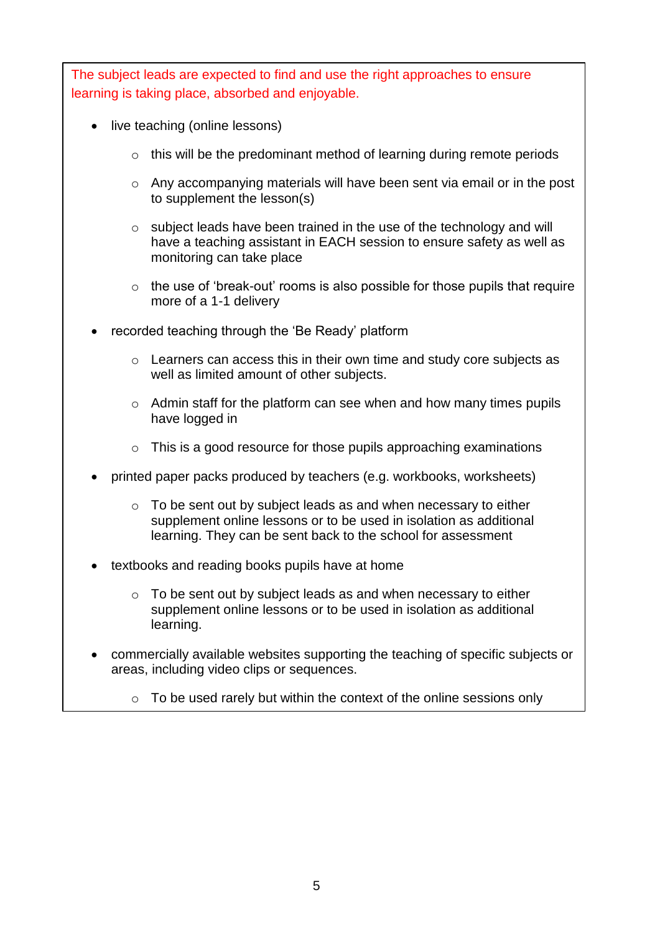The subject leads are expected to find and use the right approaches to ensure learning is taking place, absorbed and enjoyable.

- live teaching (online lessons)
	- $\circ$  this will be the predominant method of learning during remote periods
	- $\circ$  Any accompanying materials will have been sent via email or in the post to supplement the lesson(s)
	- o subject leads have been trained in the use of the technology and will have a teaching assistant in EACH session to ensure safety as well as monitoring can take place
	- o the use of 'break-out' rooms is also possible for those pupils that require more of a 1-1 delivery
- recorded teaching through the 'Be Ready' platform
	- o Learners can access this in their own time and study core subjects as well as limited amount of other subjects.
	- $\circ$  Admin staff for the platform can see when and how many times pupils have logged in
	- $\circ$  This is a good resource for those pupils approaching examinations
- printed paper packs produced by teachers (e.g. workbooks, worksheets)
	- o To be sent out by subject leads as and when necessary to either supplement online lessons or to be used in isolation as additional learning. They can be sent back to the school for assessment
- textbooks and reading books pupils have at home
	- o To be sent out by subject leads as and when necessary to either supplement online lessons or to be used in isolation as additional learning.
- commercially available websites supporting the teaching of specific subjects or areas, including video clips or sequences.
	- $\circ$  To be used rarely but within the context of the online sessions only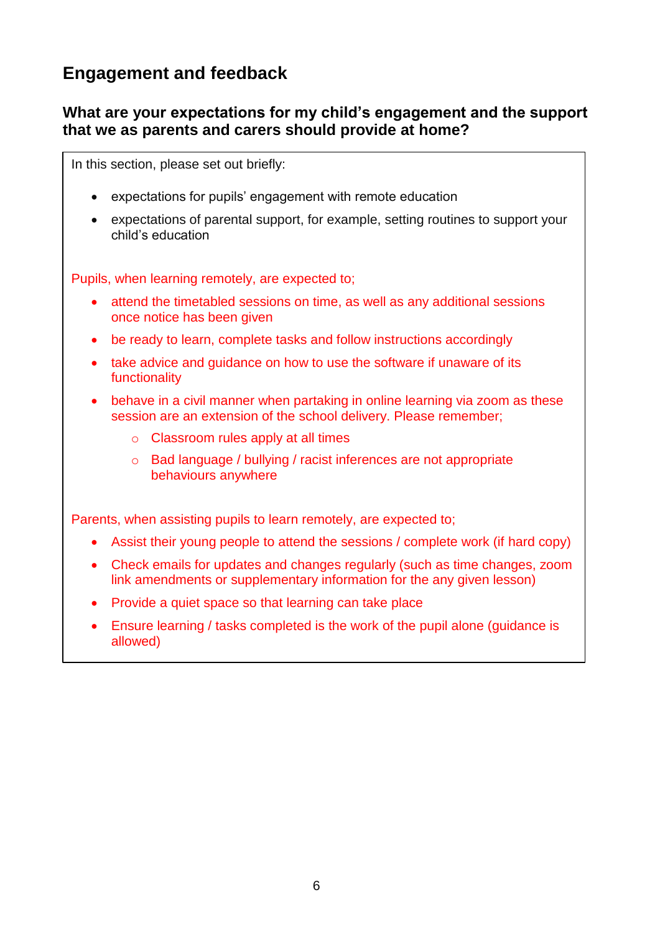### **Engagement and feedback**

#### **What are your expectations for my child's engagement and the support that we as parents and carers should provide at home?**

In this section, please set out briefly:

- expectations for pupils' engagement with remote education
- expectations of parental support, for example, setting routines to support your child's education

Pupils, when learning remotely, are expected to;

- attend the timetabled sessions on time, as well as any additional sessions once notice has been given
- be ready to learn, complete tasks and follow instructions accordingly
- take advice and guidance on how to use the software if unaware of its functionality
- behave in a civil manner when partaking in online learning via zoom as these session are an extension of the school delivery. Please remember;
	- o Classroom rules apply at all times
	- o Bad language / bullying / racist inferences are not appropriate behaviours anywhere

Parents, when assisting pupils to learn remotely, are expected to:

- Assist their young people to attend the sessions / complete work (if hard copy)
- Check emails for updates and changes regularly (such as time changes, zoom link amendments or supplementary information for the any given lesson)
- Provide a quiet space so that learning can take place
- Ensure learning / tasks completed is the work of the pupil alone (guidance is allowed)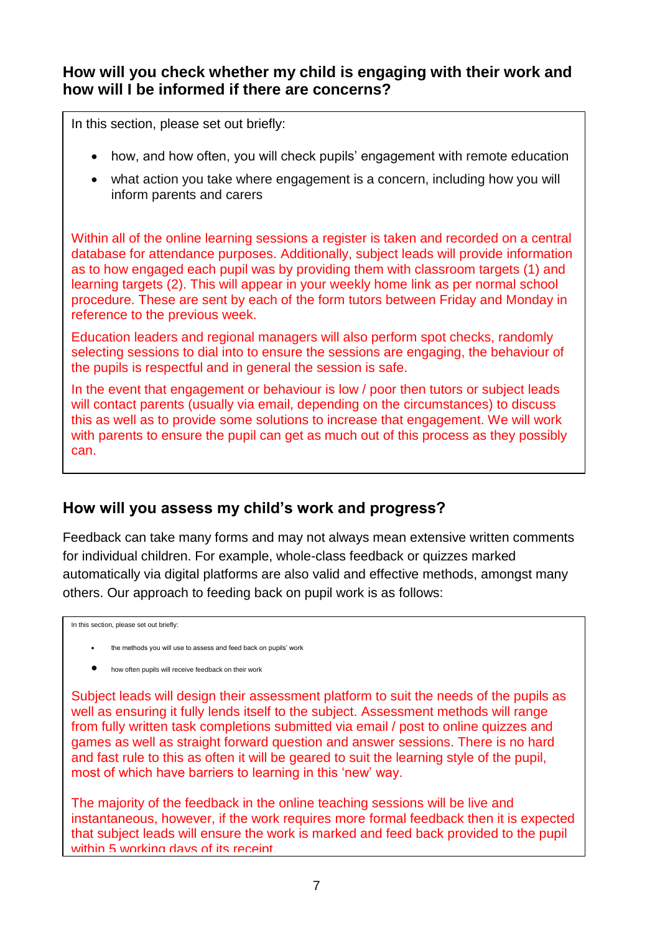#### **How will you check whether my child is engaging with their work and how will I be informed if there are concerns?**

In this section, please set out briefly:

- how, and how often, you will check pupils' engagement with remote education
- what action you take where engagement is a concern, including how you will inform parents and carers

Within all of the online learning sessions a register is taken and recorded on a central database for attendance purposes. Additionally, subject leads will provide information as to how engaged each pupil was by providing them with classroom targets (1) and learning targets (2). This will appear in your weekly home link as per normal school procedure. These are sent by each of the form tutors between Friday and Monday in reference to the previous week.

Education leaders and regional managers will also perform spot checks, randomly selecting sessions to dial into to ensure the sessions are engaging, the behaviour of the pupils is respectful and in general the session is safe.

In the event that engagement or behaviour is low / poor then tutors or subject leads will contact parents (usually via email, depending on the circumstances) to discuss this as well as to provide some solutions to increase that engagement. We will work with parents to ensure the pupil can get as much out of this process as they possibly can.

#### **How will you assess my child's work and progress?**

Feedback can take many forms and may not always mean extensive written comments for individual children. For example, whole-class feedback or quizzes marked automatically via digital platforms are also valid and effective methods, amongst many others. Our approach to feeding back on pupil work is as follows:

In this section, please set out briefly:

- the methods you will use to assess and feed back on pupils' work
- how often pupils will receive feedback on their work

Subject leads will design their assessment platform to suit the needs of the pupils as well as ensuring it fully lends itself to the subject. Assessment methods will range from fully written task completions submitted via email / post to online quizzes and games as well as straight forward question and answer sessions. There is no hard and fast rule to this as often it will be geared to suit the learning style of the pupil, most of which have barriers to learning in this 'new' way.

The majority of the feedback in the online teaching sessions will be live and instantaneous, however, if the work requires more formal feedback then it is expected that subject leads will ensure the work is marked and feed back provided to the pupil within 5 working days of its receipt.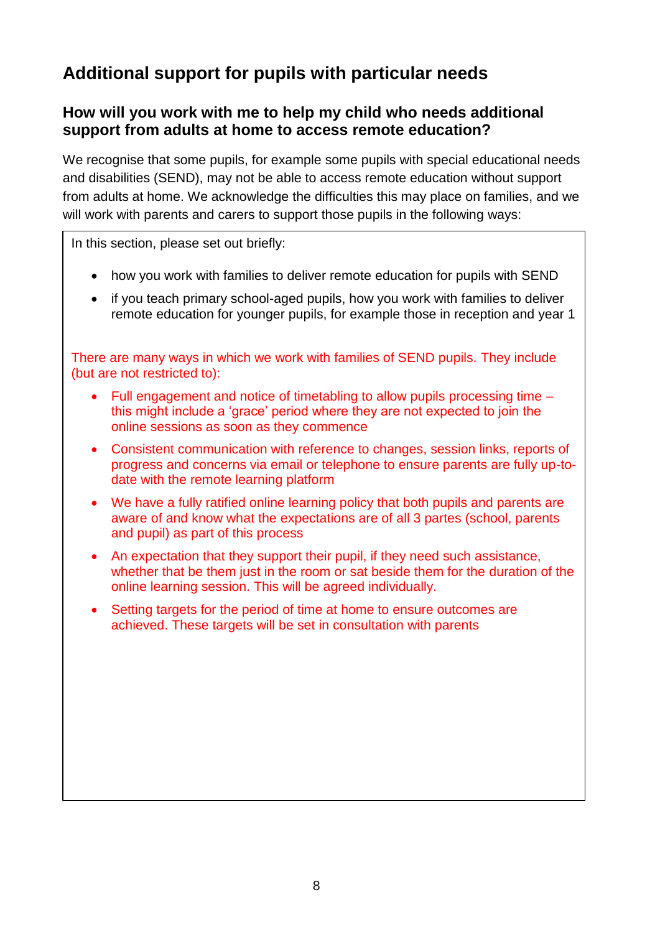# **Additional support for pupils with particular needs**

#### **How will you work with me to help my child who needs additional support from adults at home to access remote education?**

We recognise that some pupils, for example some pupils with special educational needs and disabilities (SEND), may not be able to access remote education without support from adults at home. We acknowledge the difficulties this may place on families, and we will work with parents and carers to support those pupils in the following ways:

In this section, please set out briefly:

- how you work with families to deliver remote education for pupils with SEND
- if you teach primary school-aged pupils, how you work with families to deliver remote education for younger pupils, for example those in reception and year 1

There are many ways in which we work with families of SEND pupils. They include (but are not restricted to):

- Full engagement and notice of timetabling to allow pupils processing time this might include a 'grace' period where they are not expected to join the online sessions as soon as they commence
- Consistent communication with reference to changes, session links, reports of progress and concerns via email or telephone to ensure parents are fully up-todate with the remote learning platform
- We have a fully ratified online learning policy that both pupils and parents are aware of and know what the expectations are of all 3 partes (school, parents and pupil) as part of this process
- An expectation that they support their pupil, if they need such assistance, whether that be them just in the room or sat beside them for the duration of the online learning session. This will be agreed individually.
- Setting targets for the period of time at home to ensure outcomes are achieved. These targets will be set in consultation with parents